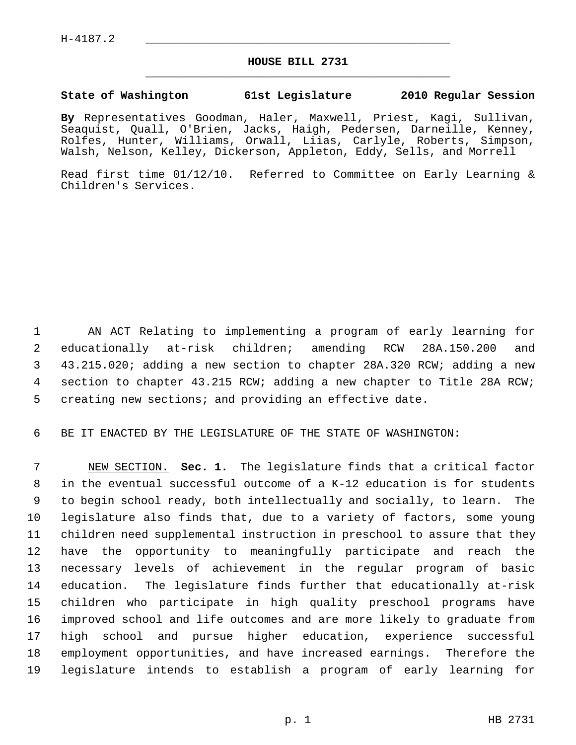## **HOUSE BILL 2731** \_\_\_\_\_\_\_\_\_\_\_\_\_\_\_\_\_\_\_\_\_\_\_\_\_\_\_\_\_\_\_\_\_\_\_\_\_\_\_\_\_\_\_\_\_

## **State of Washington 61st Legislature 2010 Regular Session**

**By** Representatives Goodman, Haler, Maxwell, Priest, Kagi, Sullivan, Seaquist, Quall, O'Brien, Jacks, Haigh, Pedersen, Darneille, Kenney, Rolfes, Hunter, Williams, Orwall, Liias, Carlyle, Roberts, Simpson, Walsh, Nelson, Kelley, Dickerson, Appleton, Eddy, Sells, and Morrell

Read first time 01/12/10. Referred to Committee on Early Learning & Children's Services.

 1 AN ACT Relating to implementing a program of early learning for 2 educationally at-risk children; amending RCW 28A.150.200 and 3 43.215.020; adding a new section to chapter 28A.320 RCW; adding a new 4 section to chapter 43.215 RCW; adding a new chapter to Title 28A RCW; 5 creating new sections; and providing an effective date.

6 BE IT ENACTED BY THE LEGISLATURE OF THE STATE OF WASHINGTON:

 7 NEW SECTION. **Sec. 1.** The legislature finds that a critical factor 8 in the eventual successful outcome of a K-12 education is for students 9 to begin school ready, both intellectually and socially, to learn. The 10 legislature also finds that, due to a variety of factors, some young 11 children need supplemental instruction in preschool to assure that they 12 have the opportunity to meaningfully participate and reach the 13 necessary levels of achievement in the regular program of basic 14 education. The legislature finds further that educationally at-risk 15 children who participate in high quality preschool programs have 16 improved school and life outcomes and are more likely to graduate from 17 high school and pursue higher education, experience successful 18 employment opportunities, and have increased earnings. Therefore the 19 legislature intends to establish a program of early learning for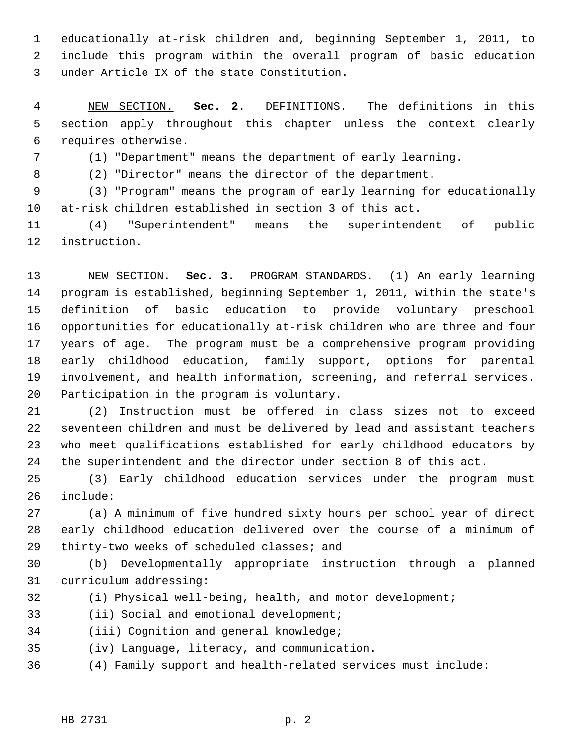1 educationally at-risk children and, beginning September 1, 2011, to 2 include this program within the overall program of basic education 3 under Article IX of the state Constitution.

 4 NEW SECTION. **Sec. 2.** DEFINITIONS. The definitions in this 5 section apply throughout this chapter unless the context clearly 6 requires otherwise.

7 (1) "Department" means the department of early learning.

8 (2) "Director" means the director of the department.

 9 (3) "Program" means the program of early learning for educationally 10 at-risk children established in section 3 of this act.

11 (4) "Superintendent" means the superintendent of public 12 instruction.

13 NEW SECTION. **Sec. 3.** PROGRAM STANDARDS. (1) An early learning 14 program is established, beginning September 1, 2011, within the state's 15 definition of basic education to provide voluntary preschool 16 opportunities for educationally at-risk children who are three and four 17 years of age. The program must be a comprehensive program providing 18 early childhood education, family support, options for parental 19 involvement, and health information, screening, and referral services. 20 Participation in the program is voluntary.

21 (2) Instruction must be offered in class sizes not to exceed 22 seventeen children and must be delivered by lead and assistant teachers 23 who meet qualifications established for early childhood educators by 24 the superintendent and the director under section 8 of this act.

25 (3) Early childhood education services under the program must 26 include:

27 (a) A minimum of five hundred sixty hours per school year of direct 28 early childhood education delivered over the course of a minimum of 29 thirty-two weeks of scheduled classes; and

30 (b) Developmentally appropriate instruction through a planned 31 curriculum addressing:

32 (i) Physical well-being, health, and motor development;

33 (ii) Social and emotional development;

34 (iii) Cognition and general knowledge;

35 (iv) Language, literacy, and communication.

36 (4) Family support and health-related services must include: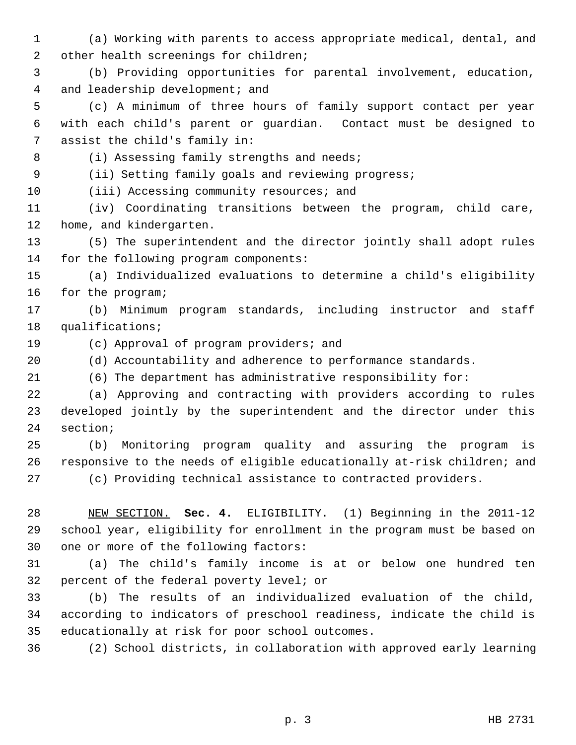- 1 (a) Working with parents to access appropriate medical, dental, and 2 other health screenings for children;
- 3 (b) Providing opportunities for parental involvement, education, 4 and leadership development; and
- 5 (c) A minimum of three hours of family support contact per year 6 with each child's parent or guardian. Contact must be designed to 7 assist the child's family in:

8 (i) Assessing family strengths and needs; 9 (ii) Setting family goals and reviewing progress;

- 10 (iii) Accessing community resources; and
- 11 (iv) Coordinating transitions between the program, child care, 12 home, and kindergarten.
- 13 (5) The superintendent and the director jointly shall adopt rules 14 for the following program components:
- 15 (a) Individualized evaluations to determine a child's eligibility 16 for the program;
- 17 (b) Minimum program standards, including instructor and staff 18 qualifications;
- 
- 19 (c) Approval of program providers; and
- 20 (d) Accountability and adherence to performance standards.
- 21 (6) The department has administrative responsibility for:
- 22 (a) Approving and contracting with providers according to rules 23 developed jointly by the superintendent and the director under this 24 section;
- 25 (b) Monitoring program quality and assuring the program is 26 responsive to the needs of eligible educationally at-risk children; and
- 

27 (c) Providing technical assistance to contracted providers.

- 28 NEW SECTION. **Sec. 4.** ELIGIBILITY. (1) Beginning in the 2011-12 29 school year, eligibility for enrollment in the program must be based on 30 one or more of the following factors:
- 31 (a) The child's family income is at or below one hundred ten 32 percent of the federal poverty level; or
- 33 (b) The results of an individualized evaluation of the child, 34 according to indicators of preschool readiness, indicate the child is 35 educationally at risk for poor school outcomes.
- 36 (2) School districts, in collaboration with approved early learning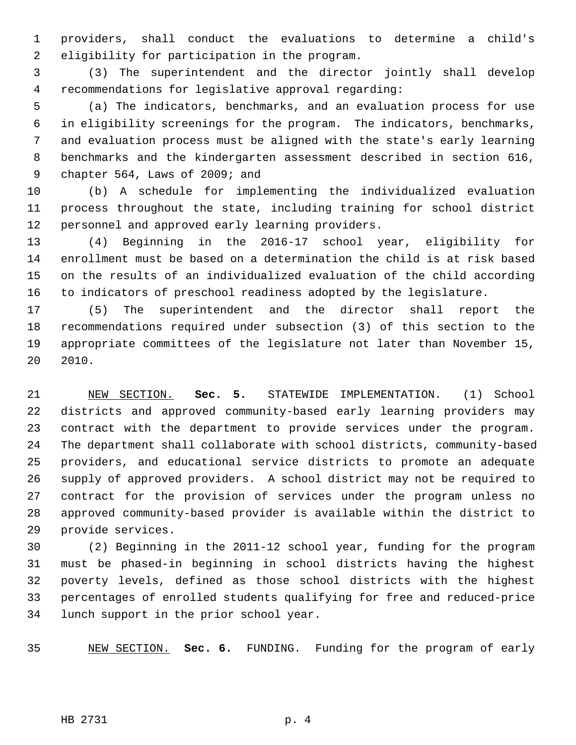1 providers, shall conduct the evaluations to determine a child's 2 eligibility for participation in the program.

 3 (3) The superintendent and the director jointly shall develop 4 recommendations for legislative approval regarding:

 5 (a) The indicators, benchmarks, and an evaluation process for use 6 in eligibility screenings for the program. The indicators, benchmarks, 7 and evaluation process must be aligned with the state's early learning 8 benchmarks and the kindergarten assessment described in section 616, 9 chapter 564, Laws of 2009; and

10 (b) A schedule for implementing the individualized evaluation 11 process throughout the state, including training for school district 12 personnel and approved early learning providers.

13 (4) Beginning in the 2016-17 school year, eligibility for 14 enrollment must be based on a determination the child is at risk based 15 on the results of an individualized evaluation of the child according 16 to indicators of preschool readiness adopted by the legislature.

17 (5) The superintendent and the director shall report the 18 recommendations required under subsection (3) of this section to the 19 appropriate committees of the legislature not later than November 15, 20 2010.

21 NEW SECTION. **Sec. 5.** STATEWIDE IMPLEMENTATION. (1) School 22 districts and approved community-based early learning providers may 23 contract with the department to provide services under the program. 24 The department shall collaborate with school districts, community-based 25 providers, and educational service districts to promote an adequate 26 supply of approved providers. A school district may not be required to 27 contract for the provision of services under the program unless no 28 approved community-based provider is available within the district to 29 provide services.

30 (2) Beginning in the 2011-12 school year, funding for the program 31 must be phased-in beginning in school districts having the highest 32 poverty levels, defined as those school districts with the highest 33 percentages of enrolled students qualifying for free and reduced-price 34 lunch support in the prior school year.

35 NEW SECTION. **Sec. 6.** FUNDING. Funding for the program of early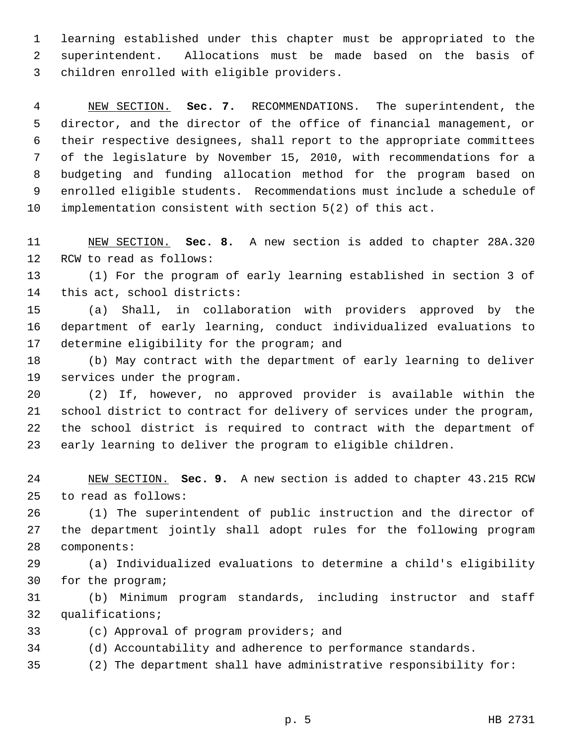1 learning established under this chapter must be appropriated to the 2 superintendent. Allocations must be made based on the basis of 3 children enrolled with eligible providers.

 4 NEW SECTION. **Sec. 7.** RECOMMENDATIONS. The superintendent, the 5 director, and the director of the office of financial management, or 6 their respective designees, shall report to the appropriate committees 7 of the legislature by November 15, 2010, with recommendations for a 8 budgeting and funding allocation method for the program based on 9 enrolled eligible students. Recommendations must include a schedule of 10 implementation consistent with section 5(2) of this act.

11 NEW SECTION. **Sec. 8.** A new section is added to chapter 28A.320 12 RCW to read as follows:

13 (1) For the program of early learning established in section 3 of 14 this act, school districts:

15 (a) Shall, in collaboration with providers approved by the 16 department of early learning, conduct individualized evaluations to 17 determine eligibility for the program; and

18 (b) May contract with the department of early learning to deliver 19 services under the program.

20 (2) If, however, no approved provider is available within the 21 school district to contract for delivery of services under the program, 22 the school district is required to contract with the department of 23 early learning to deliver the program to eligible children.

24 NEW SECTION. **Sec. 9.** A new section is added to chapter 43.215 RCW 25 to read as follows:

26 (1) The superintendent of public instruction and the director of 27 the department jointly shall adopt rules for the following program 28 components:

29 (a) Individualized evaluations to determine a child's eligibility 30 for the program;

31 (b) Minimum program standards, including instructor and staff 32 qualifications;

33 (c) Approval of program providers; and

34 (d) Accountability and adherence to performance standards.

35 (2) The department shall have administrative responsibility for: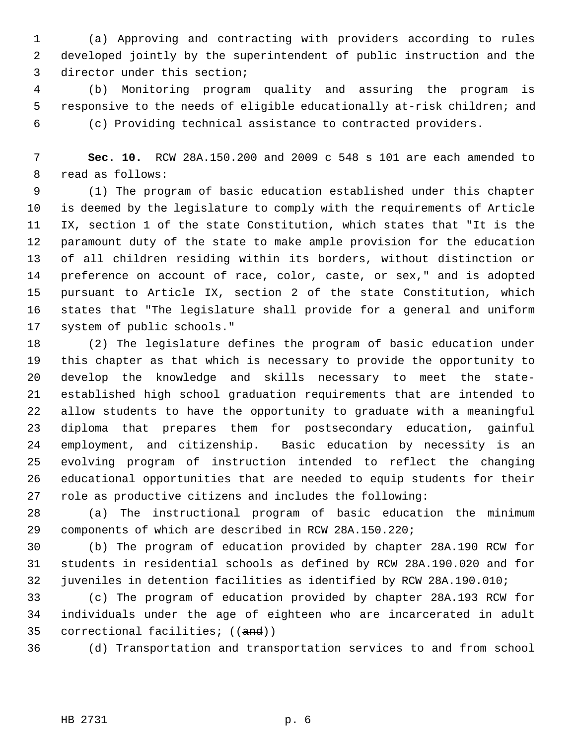1 (a) Approving and contracting with providers according to rules 2 developed jointly by the superintendent of public instruction and the 3 director under this section;

 4 (b) Monitoring program quality and assuring the program is 5 responsive to the needs of eligible educationally at-risk children; and 6 (c) Providing technical assistance to contracted providers.

 7 **Sec. 10.** RCW 28A.150.200 and 2009 c 548 s 101 are each amended to 8 read as follows:

 9 (1) The program of basic education established under this chapter 10 is deemed by the legislature to comply with the requirements of Article 11 IX, section 1 of the state Constitution, which states that "It is the 12 paramount duty of the state to make ample provision for the education 13 of all children residing within its borders, without distinction or 14 preference on account of race, color, caste, or sex," and is adopted 15 pursuant to Article IX, section 2 of the state Constitution, which 16 states that "The legislature shall provide for a general and uniform 17 system of public schools."

18 (2) The legislature defines the program of basic education under 19 this chapter as that which is necessary to provide the opportunity to 20 develop the knowledge and skills necessary to meet the state-21 established high school graduation requirements that are intended to 22 allow students to have the opportunity to graduate with a meaningful 23 diploma that prepares them for postsecondary education, gainful 24 employment, and citizenship. Basic education by necessity is an 25 evolving program of instruction intended to reflect the changing 26 educational opportunities that are needed to equip students for their 27 role as productive citizens and includes the following:

28 (a) The instructional program of basic education the minimum 29 components of which are described in RCW 28A.150.220;

30 (b) The program of education provided by chapter 28A.190 RCW for 31 students in residential schools as defined by RCW 28A.190.020 and for 32 juveniles in detention facilities as identified by RCW 28A.190.010;

33 (c) The program of education provided by chapter 28A.193 RCW for 34 individuals under the age of eighteen who are incarcerated in adult 35 correctional facilities; ((and))

36 (d) Transportation and transportation services to and from school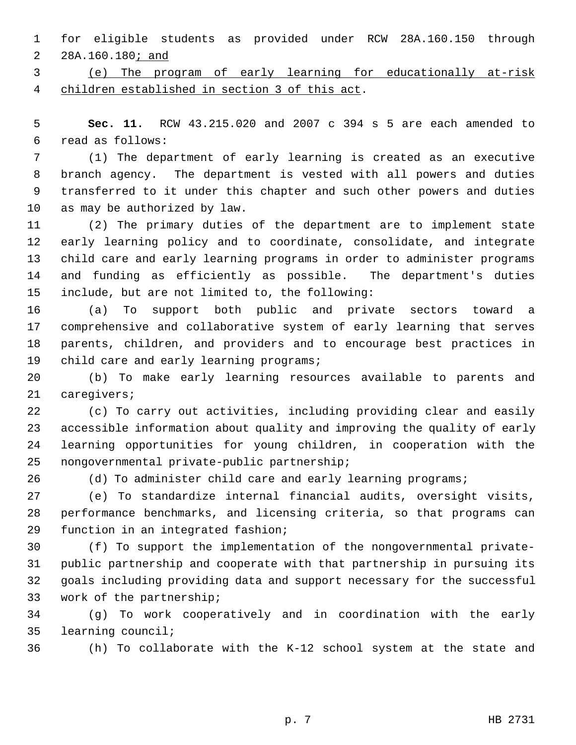1 for eligible students as provided under RCW 28A.160.150 through 2 28A.160.180; and

 3 (e) The program of early learning for educationally at-risk 4 children established in section 3 of this act.

 5 **Sec. 11.** RCW 43.215.020 and 2007 c 394 s 5 are each amended to 6 read as follows:

 7 (1) The department of early learning is created as an executive 8 branch agency. The department is vested with all powers and duties 9 transferred to it under this chapter and such other powers and duties 10 as may be authorized by law.

11 (2) The primary duties of the department are to implement state 12 early learning policy and to coordinate, consolidate, and integrate 13 child care and early learning programs in order to administer programs 14 and funding as efficiently as possible. The department's duties 15 include, but are not limited to, the following:

16 (a) To support both public and private sectors toward a 17 comprehensive and collaborative system of early learning that serves 18 parents, children, and providers and to encourage best practices in 19 child care and early learning programs;

20 (b) To make early learning resources available to parents and 21 caregivers;

22 (c) To carry out activities, including providing clear and easily 23 accessible information about quality and improving the quality of early 24 learning opportunities for young children, in cooperation with the 25 nongovernmental private-public partnership;

26 (d) To administer child care and early learning programs;

27 (e) To standardize internal financial audits, oversight visits, 28 performance benchmarks, and licensing criteria, so that programs can 29 function in an integrated fashion;

30 (f) To support the implementation of the nongovernmental private-31 public partnership and cooperate with that partnership in pursuing its 32 goals including providing data and support necessary for the successful 33 work of the partnership;

34 (g) To work cooperatively and in coordination with the early 35 learning council;

36 (h) To collaborate with the K-12 school system at the state and